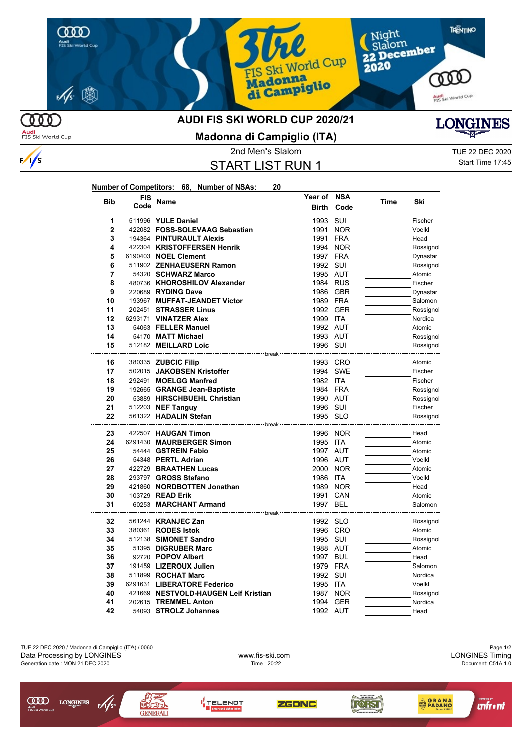

**AUDI FIS SKI WORLD CUP 2020/21**

**Audi**<br>FIS Ski World Cup

 $\frac{1}{s}$ 

## **Madonna di Campiglio (ITA)**

START LIST RUN 1

**Year of NSA**

Start Time 17:45

| Number of Competitors: 68, Number of NSAs: |  |  | 20 |
|--------------------------------------------|--|--|----|
|--------------------------------------------|--|--|----|

| <b>Bib</b>     | FIS  | Name                                                       | Year of          | NSA        | Time | Ski                    |
|----------------|------|------------------------------------------------------------|------------------|------------|------|------------------------|
|                | Code |                                                            | <b>Birth</b>     | Code       |      |                        |
| 1              |      | 511996 YULE Daniel                                         | 1993             | SUI        |      | Fischer                |
| $\overline{2}$ |      | 422082 FOSS-SOLEVAAG Sebastian                             | 1991             | <b>NOR</b> |      | Voelkl                 |
| 3              |      | 194364 PINTURAULT Alexis                                   | 1991             | <b>FRA</b> |      | Head                   |
| 4              |      | 422304 KRISTOFFERSEN Henrik                                | 1994             | <b>NOR</b> |      | Rossignol              |
| 5              |      | 6190403 NOEL Clement                                       | 1997             | <b>FRA</b> |      | Dynastar               |
| 6              |      | 511902 ZENHAEUSERN Ramon                                   | 1992             | SUI        |      | Rossignol              |
| 7              |      | 54320 SCHWARZ Marco                                        | 1995 AUT         |            |      | Atomic                 |
| 8              |      | 480736 KHOROSHILOV Alexander                               | 1984 RUS         |            |      | Fischer                |
| 9              |      | 220689 RYDING Dave                                         | 1986 GBR         |            |      | Dynastar               |
| 10             |      | 193967 MUFFAT-JEANDET Victor                               | 1989 FRA         |            |      | Salomon                |
| 11             |      | 202451 STRASSER Linus                                      | 1992 GER         |            |      | Rossignol              |
| 12             |      | 6293171 VINATZER Alex                                      | 1999 ITA         |            |      | Nordica                |
| 13             |      | 54063 FELLER Manuel                                        | 1992 AUT         |            |      | Atomic                 |
| 14             |      | 54170 MATT Michael                                         | 1993 AUT         |            |      | Rossignol              |
| 15             |      | 512182 MEILLARD Loic                                       | 1996 SUI         |            |      | Rossignol              |
|                |      | ----------------------- break                              |                  |            |      |                        |
| 16<br>17       |      | 380335 ZUBCIC Filip<br>502015 JAKOBSEN Kristoffer          | 1993 CRO         |            |      | Atomic                 |
| 18             |      |                                                            | 1994<br>1982 ITA | <b>SWE</b> |      | Fischer                |
| 19             |      | 292491 MOELGG Manfred                                      | 1984 FRA         |            |      | Fischer                |
| 20             |      | 192665 GRANGE Jean-Baptiste<br>53889 HIRSCHBUEHL Christian | 1990 AUT         |            |      | Rossignol<br>Rossignol |
| 21             |      | 512203 NEF Tanguy                                          | 1996             | SUI        |      | Fischer                |
| 22             |      | 561322 HADALIN Stefan                                      | 1995 SLO         |            |      | Rossignol              |
|                |      |                                                            |                  |            |      |                        |
| 23             |      | 422507 HAUGAN Timon                                        | 1996 NOR         |            |      | Head                   |
| 24             |      | 6291430 MAURBERGER Simon                                   | 1995 ITA         |            |      | Atomic                 |
| 25             |      | 54444 GSTREIN Fabio                                        | 1997 AUT         |            |      | Atomic                 |
| 26             |      | 54348 PERTL Adrian                                         | 1996 AUT         |            |      | Voelkl                 |
| 27             |      | 422729 BRAATHEN Lucas                                      | 2000 NOR         |            |      | Atomic                 |
| 28             |      | 293797 GROSS Stefano                                       | 1986             | <b>ITA</b> |      | Voelkl                 |
| 29             |      | 421860 NORDBOTTEN Jonathan                                 | 1989 NOR         |            |      | Head                   |
| 30             |      | 103729 READ Erik                                           | 1991             | CAN        |      | Atomic                 |
| 31             |      | 60253 MARCHANT Armand                                      | 1997 BEL         |            |      | Salomon                |
|                |      |                                                            | --- break        |            |      |                        |
| 32             |      | 561244 <b>KRANJEC Zan</b>                                  | 1992 SLO         |            |      | Rossignol              |
| 33<br>34       |      | 380361 RODES Istok                                         | 1996 CRO<br>1995 | SUI        |      | Atomic                 |
| 35             |      | 512138 SIMONET Sandro<br>51395 DIGRUBER Marc               |                  |            |      | Rossignol              |
| 36             |      | 92720 POPOV Albert                                         | 1988 AUT<br>1997 | <b>BUL</b> |      | Atomic<br>Head         |
| 37             |      |                                                            | 1979 FRA         |            |      | Salomon                |
| 38             |      | 191459 LIZEROUX Julien<br>511899 ROCHAT Marc               | 1992             | SUI        |      | Nordica                |
| 39             |      | 6291631 LIBERATORE Federico                                | 1995             | <b>ITA</b> |      | Voelkl                 |
| 40             |      | 421669 NESTVOLD-HAUGEN Leif Kristian                       | 1987             | <b>NOR</b> |      | Rossignol              |
| 41             |      | 202615 TREMMEL Anton                                       | 1994             | <b>GER</b> |      | Nordica                |
| 42             |      | 54093 STROLZ Johannes                                      | 1992 AUT         |            |      | Head                   |
|                |      |                                                            |                  |            |      |                        |



2nd Men's Slalom TUE 22 DEC 2020